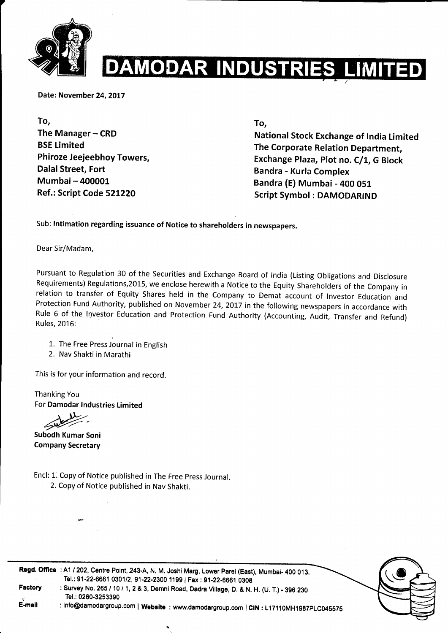

# **AMODAR INDUSTRIES LIMITED**

Date: November 24, 2017

To, The Manager - CRD BSE Limited Phiroze Jeejeebhoy Towers, Dalal Street, Fort Mumbai- 400001 Ref.: Script Code 521220

To,

National Stock Exchange of lndia Limited The Corporate Relation Department, Exchange Plaza, Plot no. C/1, G Block Bandra - Kurla Complex Bandra (E) Mumbai - 400 051 Script Symbol : DAMODARIND

Sub: lntimation regarding issuance of Notice to shareholders in newspapers.

Dear Sir/Madam,

Pursuant to Regulation 30 of the securities and Exchange Board of lndia (Listing obligations and Disclosure Requirements) Regulations, 2015, we enclose herewith a Notice to the Equity Shareholders of the Company in relation to transfer of Equity Shares held in the Company to Demat account of lnvestor Education and Protection Fund Authority, published on November 24, 2017 in the following newspapers in accordance with Rule 6 of the lnvestor Education and Protection Fund Authority (Accounting, Audit, Transfer and Refund) Rules, 2016:

1. The Free Press Journal in English

2. Nav Shakti in Marathi

This is for your information and record.

Thanking You For Damodar lndustries Limited

4P-Subodh Kumar Soni

Company Secretary

Encl: L. Copy of Notice published in The Free press Journal.

2. Copy of Notice published in Nav Shakti.



Regd. Offlce : A1 / 202, centre Point, 243-A, N, M. Joshi Marg, Lower parel (East), Mumbai- 4oo 013. Factory .<br>E-mail Tel.: 91-22-6661 0301/2, 91-22-2300 1199 | Fax : 91-22-6661 0308 : Survey No. 265 / 10 / 1, 2 & 3, Demni Road, Dadra Village, D. & N. H. (U. T.) - 396 230 Tel.: 0260-3253390

: info@damodargroup.com | Website : www.damodargroup.com | CIN : L17110MH1987PLC045575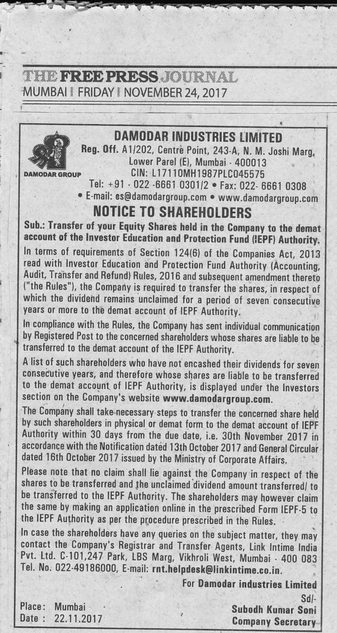### **THE FREE PRESS. IOURNAL** MUMBAI | FRIDAY | NOVEMBER 24, 2017



#### **DAMODAR INDUSTRIES LIMITED**

Reg. Off. A1/202, Centre Point, 243-A, N. M. Joshi Marg. Lower Parel (E), Mumbai - 400013 CIN: L17110MH1987PLC045575 Tel: +91 - 022 -6661 0301/2 · Fax: 022- 6661 0308

· E-mail: es@damodargroup.com · www.damodargroup.com

### **NOTICE TO SHAREHOLDERS**

Sub.: Transfer of your Equity Shares held in the Company to the demat account of the Investor Education and Protection Fund (IEPF) Authority.

In terms of requirements of Section 124(6) of the Companies Act, 2013 read with Investor Education and Protection Fund Authority (Accounting, Audit, Transfer and Refund) Rules, 2016 and subsequent amendment thereto ("the Rules"), the Company is required to transfer the shares, in respect of which the dividend remains unclaimed for a period of seven consecutive years or more to the demat account of IEPF Authority.

In compliance with the Rules, the Company has sent individual communication by Registered Post to the concerned shareholders whose shares are liable to be transferred to the demat account of the IEPF Authority.

A list of such shareholders who have not encashed their dividends for seven consecutive vears, and therefore whose shares are liable to be transferred to the demat account of IEPF Authority, is displayed under the Investors section on the Company's website www.damodargroup.com.

The Company shall take necessary steps to transfer the concerned share held by such shareholders in physical or demat form to the demat account of IEPF Authority within 30 days from the due date, i.e. 30th November 2017 in accordance with the Notification dated 13th October 2017 and General Circular dated 16th October 2017 issued by the Ministry of Corporate Affairs.

Please note that no claim shall lie against the Company in respect of the shares to be transferred and the unclaimed dividend amount transferred/ to be transferred to the IEPF Authority. The shareholders may however claim the same by making an application online in the prescribed Form IEPF-5 to the IEPF Authority as per the procedure prescribed in the Rules.

In case the shareholders have any queries on the subject matter, they may contact the Company's Registrar and Transfer Agents, Link Intime India Pvt. Ltd. C-101,247 Park, LBS Marg, Vikhroli West, Mumbai - 400 083 Tel. No. 022-49186000, E-mail: rnt.helpdesk@linkintime.co.in.

For Damodar industries Limited

Place: Mumbai Date: 22.11.2017

Subodh Kumar Soni **Company Secretary** 

Sdl-